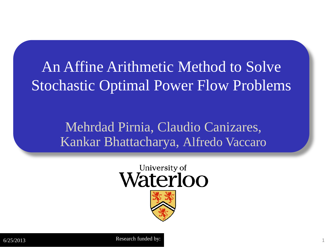### An Affine Arithmetic Method to Solve Stochastic Optimal Power Flow Problems

### Mehrdad Pirnia, Claudio Canizares, Kankar Bhattacharya, Alfredo Vaccaro

### University of Waterloo

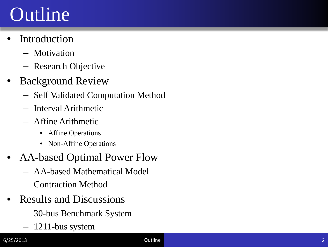# **Outline**

- **Introduction** 
	- Motivation
	- Research Objective
- **Background Review** 
	- Self Validated Computation Method
	- Interval Arithmetic
	- Affine Arithmetic
		- Affine Operations
		- Non-Affine Operations
- AA-based Optimal Power Flow
	- AA-based Mathematical Model
	- Contraction Method
- Results and Discussions
	- 30-bus Benchmark System
	- 1211-bus system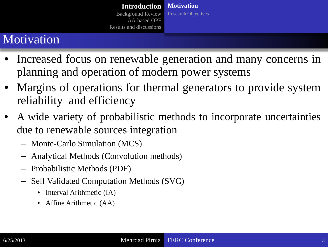### Motivation

- Increased focus on renewable generation and many concerns in planning and operation of modern power systems
- Margins of operations for thermal generators to provide system reliability and efficiency
- A wide variety of probabilistic methods to incorporate uncertainties due to renewable sources integration
	- Monte-Carlo Simulation (MCS)
	- Analytical Methods (Convolution methods)
	- Probabilistic Methods (PDF)
	- Self Validated Computation Methods (SVC)
		- Interval Arithmetic (IA)
		- Affine Arithmetic (AA)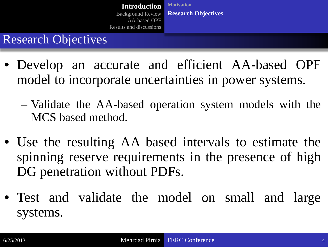### Research Objectives

- Develop an accurate and efficient AA-based OPF model to incorporate uncertainties in power systems.
	- Validate the AA-based operation system models with the MCS based method.
- Use the resulting AA based intervals to estimate the spinning reserve requirements in the presence of high DG penetration without PDFs.
- Test and validate the model on small and large systems.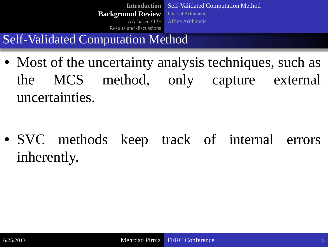Self-Validated Computation Method Interval Arithmetic Affine Arithmetic **Introduction Background Review** AA-based OPF Results and discussions

Self-Validated Computation Method

• Most of the uncertainty analysis techniques, such as the MCS method, only capture external uncertainties.

• SVC methods keep track of internal errors inherently.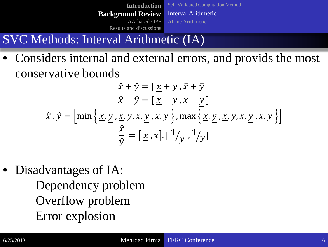Self-Validated Computation Method Interval Arithmetic Affine Arithmetic **Introduction Background Review** AA-based OPF Results and discussions

### SVC Methods: Interval Arithmetic (IA)

• Considers internal and external errors, and provids the most conservative bounds

$$
\hat{x} + \hat{y} = \left[ \underline{x} + \underline{y}, \overline{x} + \overline{y} \right]
$$

$$
\hat{x} - \hat{y} = \left[ \underline{x} - \overline{y}, \overline{x} - \underline{y} \right]
$$

$$
\hat{x} \cdot \hat{y} = \left[ \min \left\{ \underline{x}, \underline{y}, \underline{x}, \overline{y}, \overline{x}, \underline{y}, \overline{x}, \overline{y} \right\}, \max \left\{ \underline{x}, \underline{y}, \underline{x}, \overline{y}, \overline{x}, \underline{y}, \overline{x}, \overline{y} \right\} \right]
$$

$$
\frac{\hat{x}}{\hat{y}} = \left[ \underline{x}, \overline{x} \right] \cdot \left[ \frac{1}{\overline{y}}, \frac{1}{\overline{y}} \right]
$$

• Disadvantages of IA: Dependency problem Overflow problem Error explosion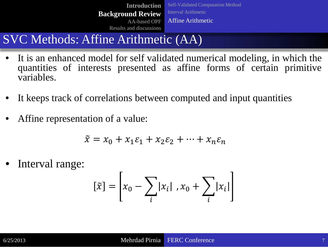Self-Validated Computation Method Interval Arithmetic Affine Arithmetic **Introduction Background Review** AA-based OPF Results and discussions

### SVC Methods: Affine Arithmetic (AA)

- It is an enhanced model for self validated numerical modeling, in which the quantities of interests presented as affine forms of certain primitive variables.
- It keeps track of correlations between computed and input quantities
- Affine representation of a value:

$$
\tilde{x} = x_0 + x_1 \varepsilon_1 + x_2 \varepsilon_2 + \dots + x_n \varepsilon_n
$$

Interval range:

$$
[\tilde{x}] = \left[x_0 - \sum_i |x_i|, x_0 + \sum_i |x_i|\right]
$$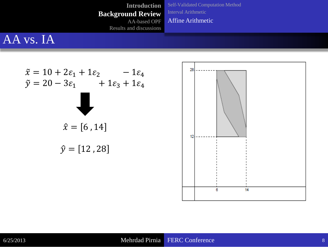Results and discussions

Self-Validated Computation Method Interval Arithmetic Affine Arithmetic

### AA vs. IA

$$
\tilde{x} = 10 + 2\varepsilon_1 + 1\varepsilon_2 - 1\varepsilon_4
$$
  

$$
\tilde{y} = 20 - 3\varepsilon_1 + 1\varepsilon_3 + 1\varepsilon_4
$$
  

$$
\hat{x} = [6, 14]
$$
  

$$
\hat{y} = [12, 28]
$$

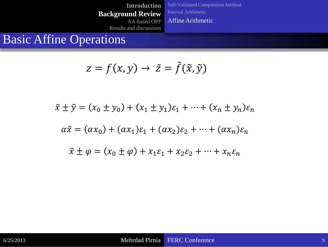**Introduction Background Review** AA-based OPF Self-Validated Computation Method Interval Arithmetic Affine Arithmetic

Results and discussions

### Basic Affine Operations

$$
z = f(x, y) \rightarrow \tilde{z} = \tilde{f}(\tilde{x}, \tilde{y})
$$

$$
\tilde{x} \pm \tilde{y} = (x_0 \pm y_0) + (x_1 \pm y_1)\varepsilon_1 + \dots + (x_n \pm y_n)\varepsilon_n
$$
  

$$
\alpha \tilde{x} = (\alpha x_0) + (\alpha x_1)\varepsilon_1 + (\alpha x_2)\varepsilon_2 + \dots + (\alpha x_n)\varepsilon_n
$$
  

$$
\tilde{x} \pm \varphi = (x_0 \pm \varphi) + x_1\varepsilon_1 + x_2\varepsilon_2 + \dots + x_n\varepsilon_n
$$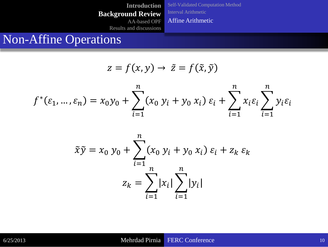Self-Validated Computation Method Interval Arithmetic Affine Arithmetic

Results and discussions

### Non-Affine Operations

$$
z = f(x, y) \rightarrow \tilde{z} = f(\tilde{x}, \tilde{y})
$$

$$
f^{*}(\varepsilon_{1}, ..., \varepsilon_{n}) = x_{0}y_{0} + \sum_{i=1}^{n} (x_{0} y_{i} + y_{0} x_{i}) \varepsilon_{i} + \sum_{i=1}^{n} x_{i} \varepsilon_{i} \sum_{i=1}^{n} y_{i} \varepsilon_{i}
$$

$$
\tilde{x}\tilde{y} = x_0 y_0 + \sum_{i=1}^n (x_0 y_i + y_0 x_i) \varepsilon_i + z_k \varepsilon_k
$$

$$
z_k = \sum_{i=1}^n |x_i| \sum_{i=1}^n |y_i|
$$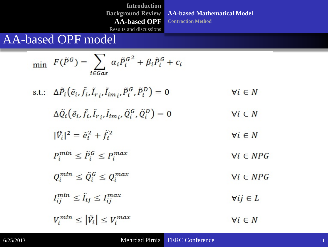**AA-based Mathematical Model Contraction Method**

Results and discussions

### AA-based OPF model

$$
\begin{aligned}\n\min \quad & F(\tilde{P}^G) = \sum_{i \in Gas} \alpha_i \tilde{P}_i^{G^2} + \beta_i \tilde{P}_i^G + c_i \\
\text{s.t.:} \quad & \Delta \tilde{P}_i \big( \tilde{e}_i, \tilde{f}_i, \tilde{I}_{r_i}, \tilde{I}_{im_i}, \tilde{P}_i^G, \tilde{P}_i^D \big) = 0 \qquad \forall i \in N \\
& \Delta \tilde{Q}_i \big( \tilde{e}_i, \tilde{f}_i, \tilde{I}_{r_i}, \tilde{I}_{im_i}, \tilde{Q}_i^G, \tilde{Q}_i^D \big) = 0 \qquad \forall i \in N \\
& |\tilde{V}_i|^2 = \tilde{e}_i^2 + \tilde{f}_i^2 \qquad \forall i \in N \\
& P_i^{min} \leq \tilde{P}_i^G \leq P_i^{max} \qquad \forall i \in NPG \\
& Q_i^{min} \leq \tilde{Q}_i^G \leq Q_i^{max} \qquad \forall i \in NPG \\
& I_{ij}^{min} \leq \tilde{I}_{ij} \leq I_{ij}^{max} \qquad \forall ij \in L \\
& V_i^{min} \leq |\tilde{V}_i| \leq V_i^{max} \qquad \forall i \in N\n\end{aligned}
$$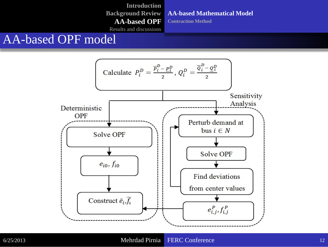**AA-based Mathematical Model**

**Contraction Method**

Results and discussions

### AA-based OPF model

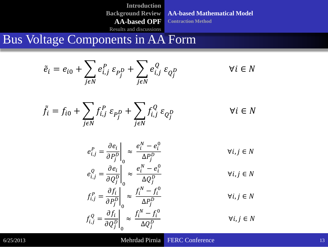**AA-based Mathematical Model**

**Contraction Method**

Results and discussions

Bus Voltage Components in AA Form

$$
\tilde{e}_i = e_{i0} + \sum_{j \in N} e_{i,j}^P \varepsilon_{P_j^D} + \sum_{j \in N} e_{i,j}^Q \varepsilon_{Q_j^D}
$$

$$
\forall i \in N
$$

 $f_i = f_{i0} + \sum_{i} f_{i,j}^P \varepsilon_{p_j^1}$  $\frac{\boldsymbol{\nu}}{\boldsymbol{\cdot}}$ JEN  $+\sum_i f_{i,j}^Q \varepsilon_{Q_j^L}$  $\frac{\boldsymbol{\nu}}{\boldsymbol{\mu}}$ JEN  $\forall i \in N$ 

$$
e_{i,j}^P = \frac{\partial e_i}{\partial P_j^D} \bigg|_0 \approx \frac{e_i^N - e_i^0}{\Delta P_j^D}
$$
\n
$$
e_{i,j}^Q = \frac{\partial e_i}{\partial Q_j^D} \bigg|_0 \approx \frac{e_i^N - e_i^0}{\Delta Q_j^D}
$$
\n
$$
f_{i,j}^P = \frac{\partial f_i}{\partial P_j^D} \bigg|_0 \approx \frac{f_i^N - f_i^0}{\Delta P_j^D}
$$
\n
$$
f_{i,j}^Q = \frac{\partial f_i}{\partial Q_j^D} \bigg|_0 \approx \frac{f_i^N - f_i^0}{\Delta Q_j^D}
$$
\n
$$
V_{i,j} \in N
$$
\n
$$
V_{i,j} \in N
$$

6/25/2013 **Mehrdad Pirnia FERC Conference** 13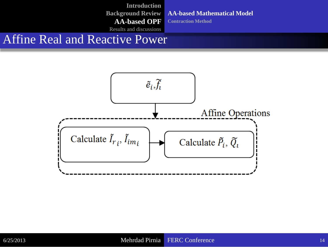**Introduction Background Review AA-based OPF**  Results and discussions

**AA-based Mathematical Model**

**Contraction Method**

Affine Real and Reactive Power

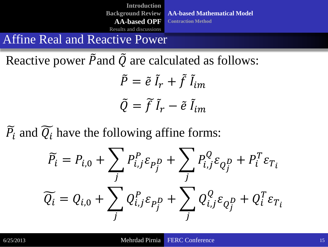**Introduction Background Review AA-based OPF**  Results and discussions

**AA-based Mathematical Model Contraction Method**

Affine Real and Reactive Power

Reactive power  $\tilde{P}$  and  $\tilde{Q}$  are calculated as follows:

 $\ddot{P} = \tilde{e} \, \tilde{I}_r + f \, \tilde{I}_{im}$  $\tilde{Q} = f \tilde{I}_r - \tilde{e} \tilde{I}_{im}$ 

 $\overline{P}_i$  and  $\overline{Q}_i$  have the following affine forms:

$$
\widetilde{P}_i = P_{i,0} + \sum_j P_{i,j}^P \varepsilon_{P_j^D} + \sum_j P_{i,j}^Q \varepsilon_{Q_j^D} + P_i^T \varepsilon_{T_i}
$$

$$
\widetilde{Q}_i = Q_{i,0} + \sum_j Q_{i,j}^P \varepsilon_{P_j^D} + \sum_j Q_{i,j}^Q \varepsilon_{Q_j^D} + Q_i^T \varepsilon_{T_i}
$$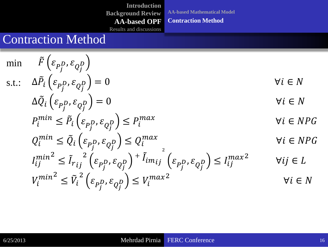**AA-based Mathematical Model**

#### **Contraction Method**

Results and discussions

### Contraction Method

$$
\begin{aligned}\n\min \quad & \tilde{F}\left(\varepsilon_{P_j^D}, \varepsilon_{Q_j^D}\right) \\
\text{s.t.:} \quad & \Delta \tilde{P}_i\left(\varepsilon_{P_j^D}, \varepsilon_{Q_j^D}\right) = 0 \\
& \Delta \tilde{Q}_i\left(\varepsilon_{P_j^D}, \varepsilon_{Q_j^D}\right) = 0 \\
& \qquad \forall i \in N \\
P_i^{\min} \leq \tilde{P}_i\left(\varepsilon_{P_j^D}, \varepsilon_{Q_j^D}\right) \leq P_i^{\max} \\
& \qquad \forall i \in N \quad \forall i \in N \quad \forall i \in N \quad \forall i \in N \quad \forall i \in N \quad \forall i \in N \quad \forall i \in N \quad \forall i \in N \quad \forall i \in N \quad \forall i \in N \quad \forall i \in N \quad \forall i \in N \quad \forall i \in N \quad \forall i \in N \quad \forall i \in N \quad \forall i \in N \quad \forall i \in N \quad \forall i \in N \quad \forall i \in N \quad \forall i \in N \quad \forall i \in N \quad \forall i \in N \quad \forall i \in N \quad \forall i \in N \quad \forall i \in N \quad \forall i \in N \quad \forall i \in N \quad \forall i \in N \quad \forall i \in N \quad \forall i \in N \quad \forall i \in N \quad \forall i \in N \quad \forall i \in N \quad \forall i \in N \quad \forall i \in N \quad \forall i \in N \quad \forall i \in N \quad \forall i \in N \quad \forall i \in N \quad \forall i \in N \quad \forall i \in N \quad \forall i \in N \quad \forall i \in N \quad \forall i \in N \quad \forall i \in N \quad \forall i \in N \quad \forall i \in N \quad \forall i \in N \quad \forall i \in N \quad \forall i \in N \quad \forall i \in N \quad \forall i \in N \quad \forall i \in N \quad \forall i \in N \quad \forall i \in N \quad \forall i \in N \quad \forall i \in N \quad \forall i \in N \quad \forall i \in N \quad \forall i \in N \quad \forall i \in N \quad \forall i \in N \quad \forall i \in N \quad \forall i \in N \quad \forall i \in N \quad \forall i \in N \quad \forall i \in N \quad \forall i \in N \quad \forall i \in N \quad \forall i \in N \quad \forall i
$$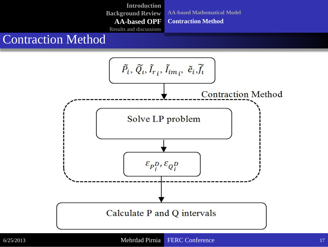**AA-based Mathematical Model Contraction Method**

Results and discussions

### Contraction Method

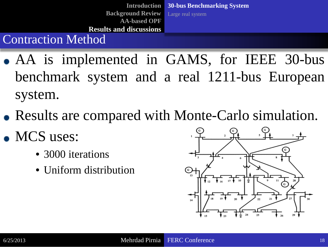**Introduction Background Review AA-based OPF Results and discussions 30-bus Benchmarking System** Large real system

### Contraction Method

- AA is implemented in GAMS, for IEEE 30-bus benchmark system and a real 1211-bus European system.
- Results are compared with Monte-Carlo simulation.
- MCS uses:
	- 3000 iterations
	- Uniform distribution

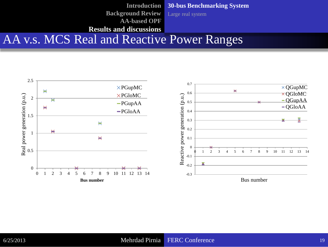AA v.s. MCS Real and Reactive Power Ranges **Introduction Background Review AA-based OPF Results and discussions 30-bus Benchmarking System** Large real system

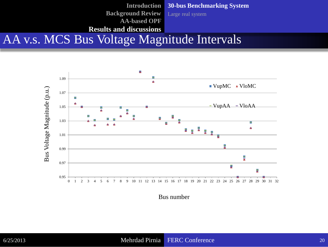AA v.s. MCS Bus Voltage Magnitude Intervals **30-bus Benchmarking System** Large real system **Introduction Background Review AA-based OPF Results and discussions** 



Bus number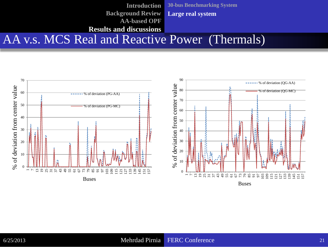AA v.s. MCS Real and Reactive Power (Thermals) **30-bus Benchmarking System Large real system Introduction Background Review AA-based OPF Results and discussions** 

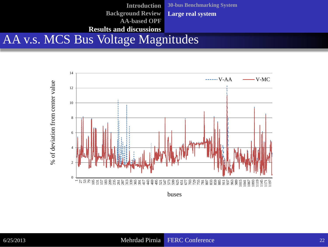

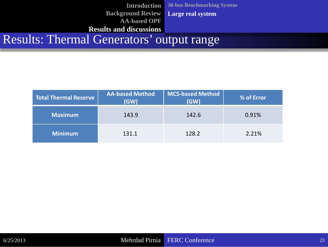Results: Thermal Generators' output range **30-bus Benchmarking System Large real system Introduction Background Review AA-based OPF Results and discussions** 

| <b>Total Thermal Reserve</b> | <b>AA-based Method</b><br>(GW) | <b>MCS-based Method</b><br>(GW) | <b>% of Error</b> |
|------------------------------|--------------------------------|---------------------------------|-------------------|
| <b>Maximum</b>               | 143.9                          | 142.6                           | 0.91%             |
| <b>Minimum</b>               | 131.1                          | 128.2                           | 2.21%             |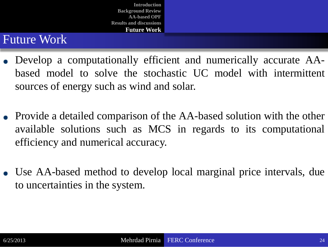### Future Work

- Develop a computationally efficient and numerically accurate AAbased model to solve the stochastic UC model with intermittent sources of energy such as wind and solar.
- Provide a detailed comparison of the AA-based solution with the other available solutions such as MCS in regards to its computational efficiency and numerical accuracy.
- Use AA-based method to develop local marginal price intervals, due to uncertainties in the system.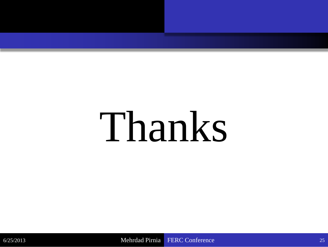# Thanks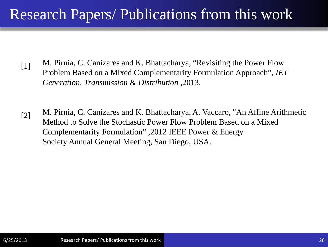### Research Papers/ Publications from this work

- [1] M. Pirnia, C. Canizares and K. Bhattacharya, "Revisiting the Power Flow Problem Based on a Mixed Complementarity Formulation Approach", *IET Generation, Transmission & Distribution ,*2013.
- [2] M. Pirnia, C. Canizares and K. Bhattacharya, A. Vaccaro, "An Affine Arithmetic Method to Solve the Stochastic Power Flow Problem Based on a Mixed Complementarity Formulation" ,2012 IEEE Power & Energy Society Annual General Meeting, San Diego, USA.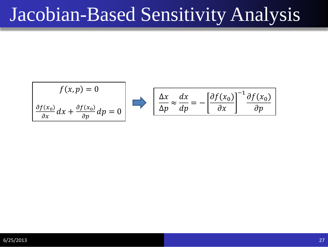# Jacobian-Based Sensitivity Analysis

$$
f(x, p) = 0
$$
  

$$
\frac{\partial f(x_0)}{\partial x} dx + \frac{\partial f(x_0)}{\partial p} dp = 0
$$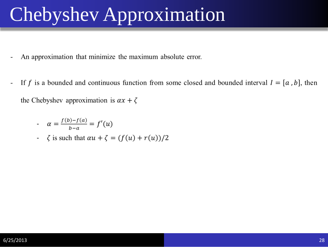# Chebyshev Approximation

- An approximation that minimize the maximum absolute error.
- If f is a bounded and continuous function from some closed and bounded interval  $I = [a, b]$ , then  $\overline{\phantom{a}}$ the Chebyshev approximation is  $\alpha x + \zeta$

$$
\alpha = \frac{f(b)-f(a)}{b-a} = f'(u)
$$

 $\zeta$  is such that  $\alpha u + \zeta = (f(u) + r(u))/2$  $\blacksquare$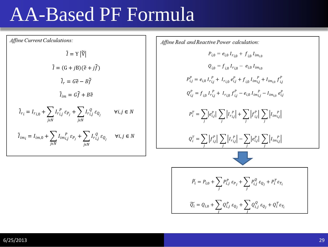## AA-Based PF Formula

Affine Current Calculations:  $\tilde{l} = Y |\tilde{V}|$  $\tilde{l} = (G + iB)(\tilde{e} + i\tilde{f})$  $\tilde{l}_r = G\tilde{e} - B\tilde{f}$  $\tilde{l}_{im} = G\tilde{f} + B\tilde{e}$  $\tilde{l}_{r_i} = I_{r_{i,0}} + \sum_{i \in N} I_{r_{i,j}}^{\ P} \varepsilon_{P_j} + \sum_{i \in N} I_{r_{i,j}}^{\ Q} \varepsilon_{Q_j}$  $\forall i, j \in N$  $\tilde{I}_{im_i} = I_{im,0} + \sum_{i \in N} I_{im_{i,j}^r} \varepsilon_{P_j} + \sum_{i \in N} I_{r_{i,j}^o} \varepsilon_{Q_j}$  $\forall i, j \in N$  Affine Real and Reactive Power calculation:  $P_{i,0} = e_{i,0} I_{r_{i,0}} + f_{i,0} I_{im_{i,0}}$  $Q_{i0} = f_{i0} I_{r_{i0}} - e_{i0} I_{im_{i0}}$  $P_{i,j}^P = e_{i,0} I_{r_{i,j}}^P + I_{r_{i,0}} e_{i,j}^P + f_{i,0} I_{im_{i,j}}^P + I_{im_{i,0}} f_{i,j}^P$  $Q_{i,j}^P = f_{i,0} I_{r_{i,j}}^P + I_{r_{i,0}} f_{i,j}^P - e_{i,0} I_{im_{i,j}}^P - I_{im_{i,0}} e_{i,j}^P$  $P_i^T = \sum_i |e_{i,j}^P| \sum_i |I_{r_{i,j}}^P| + \sum_i |f_{i,j}^P| \sum_i |I_{im_{i,j}}^P|$  $Q_i^T = \sum_j |f_{i,j}^P| \sum_j |I_{r_{i,j}}^P| - \sum_j |e_{i,j}^P| \sum_j |I_{im_{i,j}}^P|$  $\widetilde{P}_i = P_{i,0} + \sum_i P_{i,j}^P \, \varepsilon_{P_j} + \sum_i P_{i,j}^Q \, \varepsilon_{Q_j} + P_i^T \varepsilon_{T_i}$  $\widetilde{Q_i} = Q_{i,0} + \sum_i Q_{i,j}^P \, \varepsilon_{Q_j} + \sum_i Q_{i,j}^Q \, \varepsilon_{Q_j} + Q_i^T \varepsilon_{T_i}$